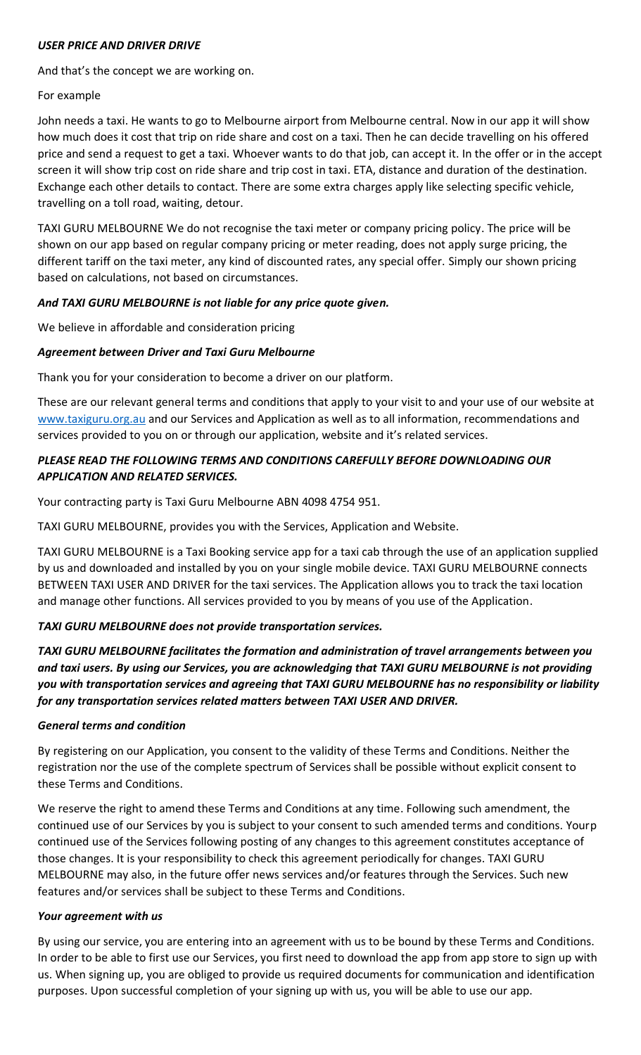#### *USER PRICE AND DRIVER DRIVE*

And that's the concept we are working on.

# For example

John needs a taxi. He wants to go to Melbourne airport from Melbourne central. Now in our app it will show how much does it cost that trip on ride share and cost on a taxi. Then he can decide travelling on his offered price and send a request to get a taxi. Whoever wants to do that job, can accept it. In the offer or in the accept screen it will show trip cost on ride share and trip cost in taxi. ETA, distance and duration of the destination. Exchange each other details to contact. There are some extra charges apply like selecting specific vehicle, travelling on a toll road, waiting, detour.

TAXI GURU MELBOURNE We do not recognise the taxi meter or company pricing policy. The price will be shown on our app based on regular company pricing or meter reading, does not apply surge pricing, the different tariff on the taxi meter, any kind of discounted rates, any special offer. Simply our shown pricing based on calculations, not based on circumstances.

## *And TAXI GURU MELBOURNE is not liable for any price quote given.*

## We believe in affordable and consideration pricing

## *Agreement between Driver and Taxi Guru Melbourne*

Thank you for your consideration to become a driver on our platform.

These are our relevant general terms and conditions that apply to your visit to and your use of our website at www.taxiguru.org.au and our Services and Application as well as to all information, recommendations and services provided to you on or through our application, website and it's related services.

## *PLEASE READ THE FOLLOWING TERMS AND CONDITIONS CAREFULLY BEFORE DOWNLOADING OUR APPLICATION AND RELATED SERVICES.*

Your contracting party is Taxi Guru Melbourne ABN 4098 4754 951.

TAXI GURU MELBOURNE, provides you with the Services, Application and Website.

TAXI GURU MELBOURNE is a Taxi Booking service app for a taxi cab through the use of an application supplied by us and downloaded and installed by you on your single mobile device. TAXI GURU MELBOURNE connects BETWEEN TAXI USER AND DRIVER for the taxi services. The Application allows you to track the taxi location and manage other functions. All services provided to you by means of you use of the Application.

# *TAXI GURU MELBOURNE does not provide transportation services.*

*TAXI GURU MELBOURNE facilitates the formation and administration of travel arrangements between you and taxi users. By using our Services, you are acknowledging that TAXI GURU MELBOURNE is not providing you with transportation services and agreeing that TAXI GURU MELBOURNE has no responsibility or liability for any transportation services related matters between TAXI USER AND DRIVER.*

## *General terms and condition*

By registering on our Application, you consent to the validity of these Terms and Conditions. Neither the registration nor the use of the complete spectrum of Services shall be possible without explicit consent to these Terms and Conditions.

We reserve the right to amend these Terms and Conditions at any time. Following such amendment, the continued use of our Services by you is subject to your consent to such amended terms and conditions. Yourp continued use of the Services following posting of any changes to this agreement constitutes acceptance of those changes. It is your responsibility to check this agreement periodically for changes. TAXI GURU MELBOURNE may also, in the future offer news services and/or features through the Services. Such new features and/or services shall be subject to these Terms and Conditions.

## *Your agreement with us*

By using our service, you are entering into an agreement with us to be bound by these Terms and Conditions. In order to be able to first use our Services, you first need to download the app from app store to sign up with us. When signing up, you are obliged to provide us required documents for communication and identification purposes. Upon successful completion of your signing up with us, you will be able to use our app.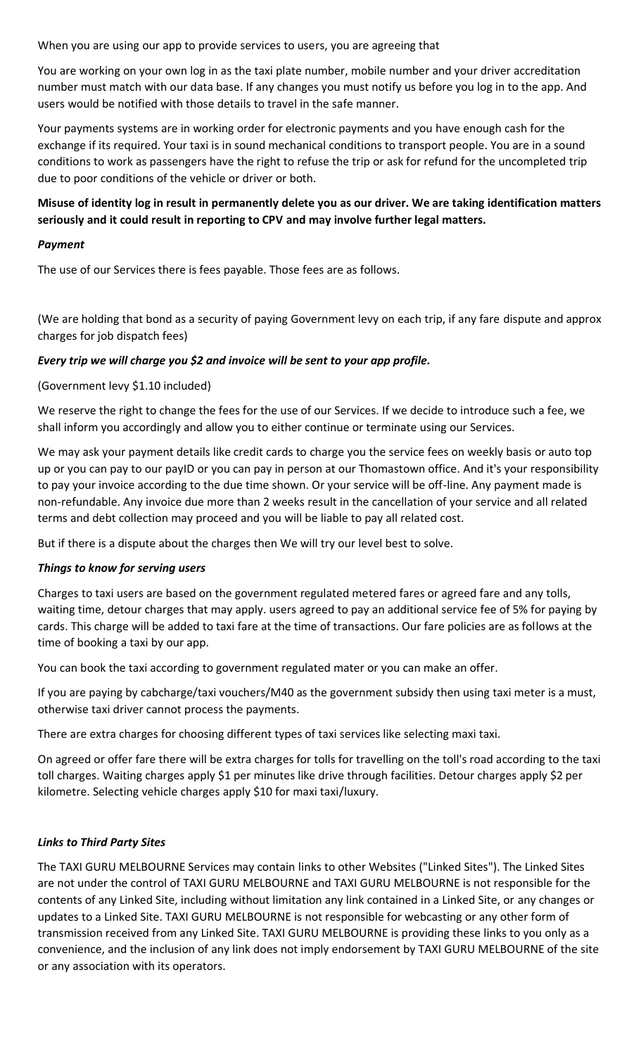When you are using our app to provide services to users, you are agreeing that

You are working on your own log in as the taxi plate number, mobile number and your driver accreditation number must match with our data base. If any changes you must notify us before you log in to the app. And users would be notified with those details to travel in the safe manner.

Your payments systems are in working order for electronic payments and you have enough cash for the exchange if its required. Your taxi is in sound mechanical conditions to transport people. You are in a sound conditions to work as passengers have the right to refuse the trip or ask for refund for the uncompleted trip due to poor conditions of the vehicle or driver or both.

## **Misuse of identity log in result in permanently delete you as our driver. We are taking identification matters seriously and it could result in reporting to CPV and may involve further legal matters.**

#### *Payment*

The use of our Services there is fees payable. Those fees are as follows.

(We are holding that bond as a security of paying Government levy on each trip, if any fare dispute and approx charges for job dispatch fees)

## *Every trip we will charge you \$2 and invoice will be sent to your app profile.*

## (Government levy \$1.10 included)

We reserve the right to change the fees for the use of our Services. If we decide to introduce such a fee, we shall inform you accordingly and allow you to either continue or terminate using our Services.

We may ask your payment details like credit cards to charge you the service fees on weekly basis or auto top up or you can pay to our payID or you can pay in person at our Thomastown office. And it's your responsibility to pay your invoice according to the due time shown. Or your service will be off-line. Any payment made is non-refundable. Any invoice due more than 2 weeks result in the cancellation of your service and all related terms and debt collection may proceed and you will be liable to pay all related cost.

But if there is a dispute about the charges then We will try our level best to solve.

## *Things to know for serving users*

Charges to taxi users are based on the government regulated metered fares or agreed fare and any tolls, waiting time, detour charges that may apply. users agreed to pay an additional service fee of 5% for paying by cards. This charge will be added to taxi fare at the time of transactions. Our fare policies are as follows at the time of booking a taxi by our app.

You can book the taxi according to government regulated mater or you can make an offer.

If you are paying by cabcharge/taxi vouchers/M40 as the government subsidy then using taxi meter is a must, otherwise taxi driver cannot process the payments.

There are extra charges for choosing different types of taxi services like selecting maxi taxi.

On agreed or offer fare there will be extra charges for tolls for travelling on the toll's road according to the taxi toll charges. Waiting charges apply \$1 per minutes like drive through facilities. Detour charges apply \$2 per kilometre. Selecting vehicle charges apply \$10 for maxi taxi/luxury.

## *Links to Third Party Sites*

The TAXI GURU MELBOURNE Services may contain links to other Websites ("Linked Sites"). The Linked Sites are not under the control of TAXI GURU MELBOURNE and TAXI GURU MELBOURNE is not responsible for the contents of any Linked Site, including without limitation any link contained in a Linked Site, or any changes or updates to a Linked Site. TAXI GURU MELBOURNE is not responsible for webcasting or any other form of transmission received from any Linked Site. TAXI GURU MELBOURNE is providing these links to you only as a convenience, and the inclusion of any link does not imply endorsement by TAXI GURU MELBOURNE of the site or any association with its operators.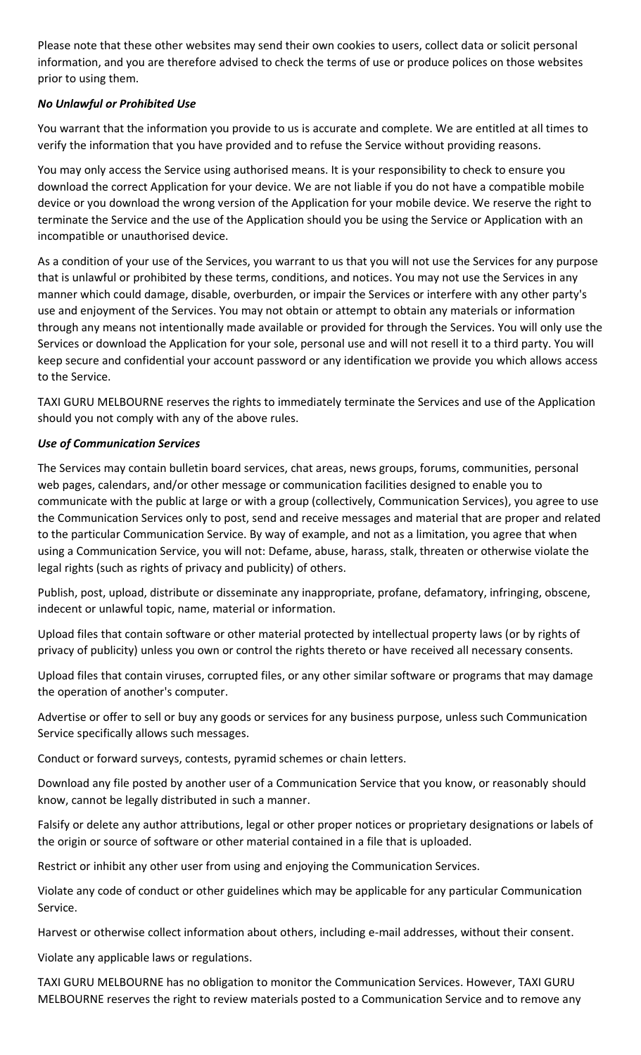Please note that these other websites may send their own cookies to users, collect data or solicit personal information, and you are therefore advised to check the terms of use or produce polices on those websites prior to using them.

## *No Unlawful or Prohibited Use*

You warrant that the information you provide to us is accurate and complete. We are entitled at all times to verify the information that you have provided and to refuse the Service without providing reasons.

You may only access the Service using authorised means. It is your responsibility to check to ensure you download the correct Application for your device. We are not liable if you do not have a compatible mobile device or you download the wrong version of the Application for your mobile device. We reserve the right to terminate the Service and the use of the Application should you be using the Service or Application with an incompatible or unauthorised device.

As a condition of your use of the Services, you warrant to us that you will not use the Services for any purpose that is unlawful or prohibited by these terms, conditions, and notices. You may not use the Services in any manner which could damage, disable, overburden, or impair the Services or interfere with any other party's use and enjoyment of the Services. You may not obtain or attempt to obtain any materials or information through any means not intentionally made available or provided for through the Services. You will only use the Services or download the Application for your sole, personal use and will not resell it to a third party. You will keep secure and confidential your account password or any identification we provide you which allows access to the Service.

TAXI GURU MELBOURNE reserves the rights to immediately terminate the Services and use of the Application should you not comply with any of the above rules.

#### *Use of Communication Services*

The Services may contain bulletin board services, chat areas, news groups, forums, communities, personal web pages, calendars, and/or other message or communication facilities designed to enable you to communicate with the public at large or with a group (collectively, Communication Services), you agree to use the Communication Services only to post, send and receive messages and material that are proper and related to the particular Communication Service. By way of example, and not as a limitation, you agree that when using a Communication Service, you will not: Defame, abuse, harass, stalk, threaten or otherwise violate the legal rights (such as rights of privacy and publicity) of others.

Publish, post, upload, distribute or disseminate any inappropriate, profane, defamatory, infringing, obscene, indecent or unlawful topic, name, material or information.

Upload files that contain software or other material protected by intellectual property laws (or by rights of privacy of publicity) unless you own or control the rights thereto or have received all necessary consents.

Upload files that contain viruses, corrupted files, or any other similar software or programs that may damage the operation of another's computer.

Advertise or offer to sell or buy any goods or services for any business purpose, unless such Communication Service specifically allows such messages.

Conduct or forward surveys, contests, pyramid schemes or chain letters.

Download any file posted by another user of a Communication Service that you know, or reasonably should know, cannot be legally distributed in such a manner.

Falsify or delete any author attributions, legal or other proper notices or proprietary designations or labels of the origin or source of software or other material contained in a file that is uploaded.

Restrict or inhibit any other user from using and enjoying the Communication Services.

Violate any code of conduct or other guidelines which may be applicable for any particular Communication Service.

Harvest or otherwise collect information about others, including e-mail addresses, without their consent.

Violate any applicable laws or regulations.

TAXI GURU MELBOURNE has no obligation to monitor the Communication Services. However, TAXI GURU MELBOURNE reserves the right to review materials posted to a Communication Service and to remove any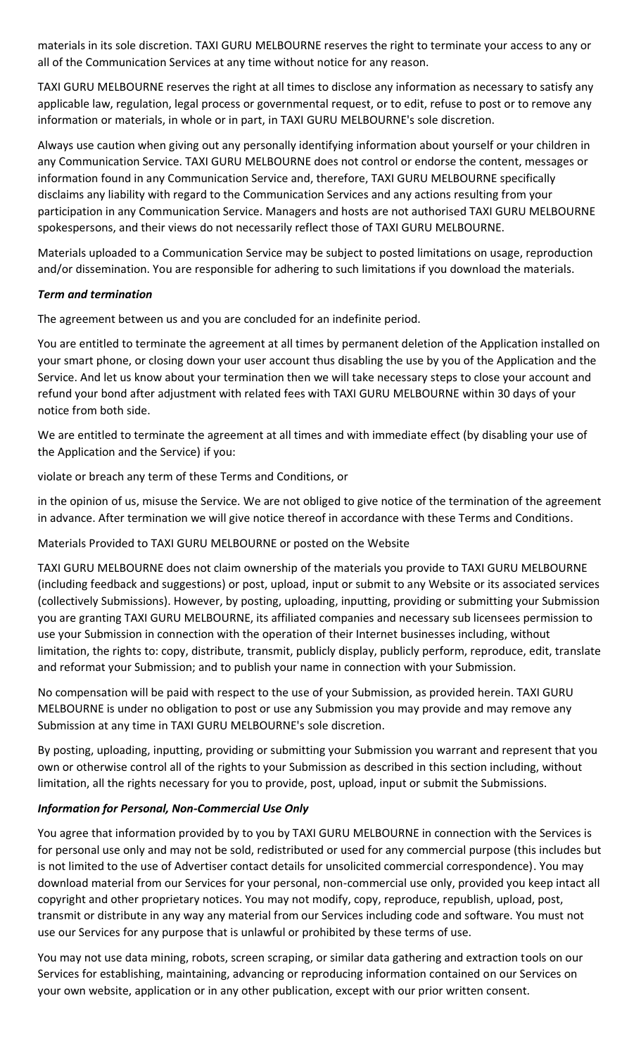materials in its sole discretion. TAXI GURU MELBOURNE reserves the right to terminate your access to any or all of the Communication Services at any time without notice for any reason.

TAXI GURU MELBOURNE reserves the right at all times to disclose any information as necessary to satisfy any applicable law, regulation, legal process or governmental request, or to edit, refuse to post or to remove any information or materials, in whole or in part, in TAXI GURU MELBOURNE's sole discretion.

Always use caution when giving out any personally identifying information about yourself or your children in any Communication Service. TAXI GURU MELBOURNE does not control or endorse the content, messages or information found in any Communication Service and, therefore, TAXI GURU MELBOURNE specifically disclaims any liability with regard to the Communication Services and any actions resulting from your participation in any Communication Service. Managers and hosts are not authorised TAXI GURU MELBOURNE spokespersons, and their views do not necessarily reflect those of TAXI GURU MELBOURNE.

Materials uploaded to a Communication Service may be subject to posted limitations on usage, reproduction and/or dissemination. You are responsible for adhering to such limitations if you download the materials.

#### *Term and termination*

The agreement between us and you are concluded for an indefinite period.

You are entitled to terminate the agreement at all times by permanent deletion of the Application installed on your smart phone, or closing down your user account thus disabling the use by you of the Application and the Service. And let us know about your termination then we will take necessary steps to close your account and refund your bond after adjustment with related fees with TAXI GURU MELBOURNE within 30 days of your notice from both side.

We are entitled to terminate the agreement at all times and with immediate effect (by disabling your use of the Application and the Service) if you:

violate or breach any term of these Terms and Conditions, or

in the opinion of us, misuse the Service. We are not obliged to give notice of the termination of the agreement in advance. After termination we will give notice thereof in accordance with these Terms and Conditions.

## Materials Provided to TAXI GURU MELBOURNE or posted on the Website

TAXI GURU MELBOURNE does not claim ownership of the materials you provide to TAXI GURU MELBOURNE (including feedback and suggestions) or post, upload, input or submit to any Website or its associated services (collectively Submissions). However, by posting, uploading, inputting, providing or submitting your Submission you are granting TAXI GURU MELBOURNE, its affiliated companies and necessary sub licensees permission to use your Submission in connection with the operation of their Internet businesses including, without limitation, the rights to: copy, distribute, transmit, publicly display, publicly perform, reproduce, edit, translate and reformat your Submission; and to publish your name in connection with your Submission.

No compensation will be paid with respect to the use of your Submission, as provided herein. TAXI GURU MELBOURNE is under no obligation to post or use any Submission you may provide and may remove any Submission at any time in TAXI GURU MELBOURNE's sole discretion.

By posting, uploading, inputting, providing or submitting your Submission you warrant and represent that you own or otherwise control all of the rights to your Submission as described in this section including, without limitation, all the rights necessary for you to provide, post, upload, input or submit the Submissions.

## *Information for Personal, Non-Commercial Use Only*

You agree that information provided by to you by TAXI GURU MELBOURNE in connection with the Services is for personal use only and may not be sold, redistributed or used for any commercial purpose (this includes but is not limited to the use of Advertiser contact details for unsolicited commercial correspondence). You may download material from our Services for your personal, non-commercial use only, provided you keep intact all copyright and other proprietary notices. You may not modify, copy, reproduce, republish, upload, post, transmit or distribute in any way any material from our Services including code and software. You must not use our Services for any purpose that is unlawful or prohibited by these terms of use.

You may not use data mining, robots, screen scraping, or similar data gathering and extraction tools on our Services for establishing, maintaining, advancing or reproducing information contained on our Services on your own website, application or in any other publication, except with our prior written consent.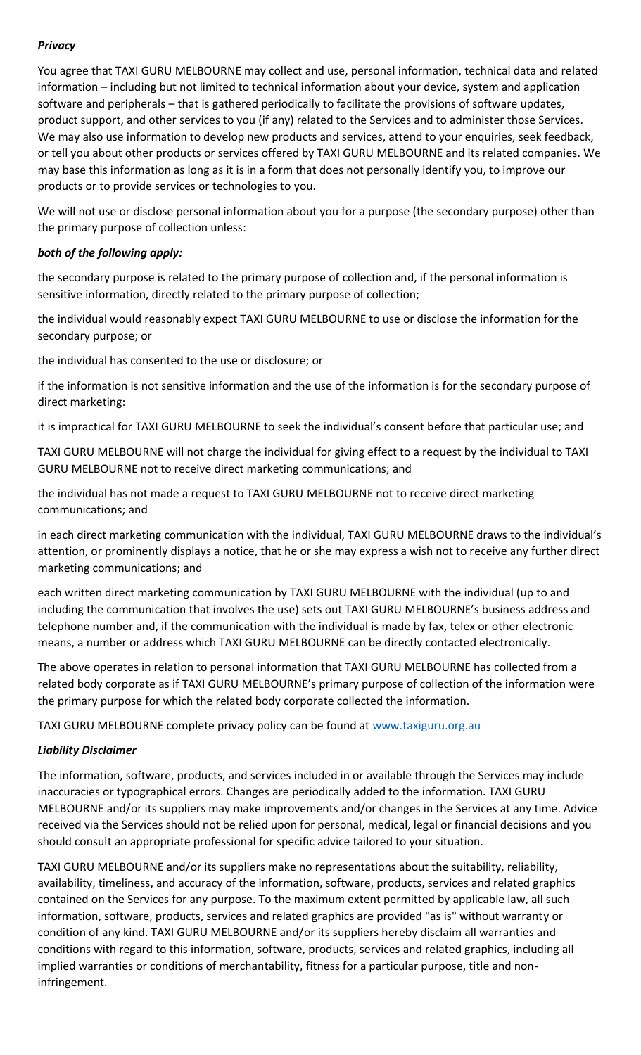## *Privacy*

You agree that TAXI GURU MELBOURNE may collect and use, personal information, technical data and related information – including but not limited to technical information about your device, system and application software and peripherals – that is gathered periodically to facilitate the provisions of software updates, product support, and other services to you (if any) related to the Services and to administer those Services. We may also use information to develop new products and services, attend to your enquiries, seek feedback, or tell you about other products or services offered by TAXI GURU MELBOURNE and its related companies. We may base this information as long as it is in a form that does not personally identify you, to improve our products or to provide services or technologies to you.

We will not use or disclose personal information about you for a purpose (the secondary purpose) other than the primary purpose of collection unless:

#### *both of the following apply:*

the secondary purpose is related to the primary purpose of collection and, if the personal information is sensitive information, directly related to the primary purpose of collection;

the individual would reasonably expect TAXI GURU MELBOURNE to use or disclose the information for the secondary purpose; or

the individual has consented to the use or disclosure; or

if the information is not sensitive information and the use of the information is for the secondary purpose of direct marketing:

it is impractical for TAXI GURU MELBOURNE to seek the individual's consent before that particular use; and

TAXI GURU MELBOURNE will not charge the individual for giving effect to a request by the individual to TAXI GURU MELBOURNE not to receive direct marketing communications; and

the individual has not made a request to TAXI GURU MELBOURNE not to receive direct marketing communications; and

in each direct marketing communication with the individual, TAXI GURU MELBOURNE draws to the individual's attention, or prominently displays a notice, that he or she may express a wish not to receive any further direct marketing communications; and

each written direct marketing communication by TAXI GURU MELBOURNE with the individual (up to and including the communication that involves the use) sets out TAXI GURU MELBOURNE's business address and telephone number and, if the communication with the individual is made by fax, telex or other electronic means, a number or address which TAXI GURU MELBOURNE can be directly contacted electronically.

The above operates in relation to personal information that TAXI GURU MELBOURNE has collected from a related body corporate as if TAXI GURU MELBOURNE's primary purpose of collection of the information were the primary purpose for which the related body corporate collected the information.

TAXI GURU MELBOURNE complete privacy policy can be found at www.taxiguru.org.au

#### *Liability Disclaimer*

The information, software, products, and services included in or available through the Services may include inaccuracies or typographical errors. Changes are periodically added to the information. TAXI GURU MELBOURNE and/or its suppliers may make improvements and/or changes in the Services at any time. Advice received via the Services should not be relied upon for personal, medical, legal or financial decisions and you should consult an appropriate professional for specific advice tailored to your situation.

TAXI GURU MELBOURNE and/or its suppliers make no representations about the suitability, reliability, availability, timeliness, and accuracy of the information, software, products, services and related graphics contained on the Services for any purpose. To the maximum extent permitted by applicable law, all such information, software, products, services and related graphics are provided "as is" without warranty or condition of any kind. TAXI GURU MELBOURNE and/or its suppliers hereby disclaim all warranties and conditions with regard to this information, software, products, services and related graphics, including all implied warranties or conditions of merchantability, fitness for a particular purpose, title and noninfringement.